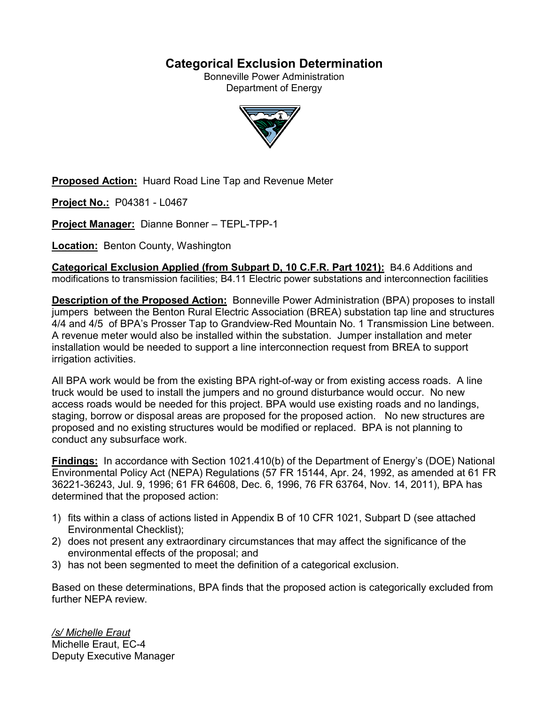# **Categorical Exclusion Determination**

Bonneville Power Administration Department of Energy



**Proposed Action:** Huard Road Line Tap and Revenue Meter

**Project No.:** P04381 - L0467

**Project Manager:** Dianne Bonner – TEPL-TPP-1

**Location:** Benton County, Washington

**Categorical Exclusion Applied (from Subpart D, 10 C.F.R. Part 1021):** B4.6 Additions and modifications to transmission facilities; B4.11 Electric power substations and interconnection facilities

**Description of the Proposed Action:** Bonneville Power Administration (BPA) proposes to install jumpers between the Benton Rural Electric Association (BREA) substation tap line and structures 4/4 and 4/5 of BPA's Prosser Tap to Grandview-Red Mountain No. 1 Transmission Line between. A revenue meter would also be installed within the substation. Jumper installation and meter installation would be needed to support a line interconnection request from BREA to support irrigation activities.

All BPA work would be from the existing BPA right-of-way or from existing access roads. A line truck would be used to install the jumpers and no ground disturbance would occur. No new access roads would be needed for this project. BPA would use existing roads and no landings, staging, borrow or disposal areas are proposed for the proposed action. No new structures are proposed and no existing structures would be modified or replaced. BPA is not planning to conduct any subsurface work.

**Findings:** In accordance with Section 1021.410(b) of the Department of Energy's (DOE) National Environmental Policy Act (NEPA) Regulations (57 FR 15144, Apr. 24, 1992, as amended at 61 FR 36221-36243, Jul. 9, 1996; 61 FR 64608, Dec. 6, 1996, 76 FR 63764, Nov. 14, 2011), BPA has determined that the proposed action:

- 1) fits within a class of actions listed in Appendix B of 10 CFR 1021, Subpart D (see attached Environmental Checklist);
- 2) does not present any extraordinary circumstances that may affect the significance of the environmental effects of the proposal; and
- 3) has not been segmented to meet the definition of a categorical exclusion.

Based on these determinations, BPA finds that the proposed action is categorically excluded from further NEPA review.

*/s/ Michelle Eraut* Michelle Eraut, EC-4 Deputy Executive Manager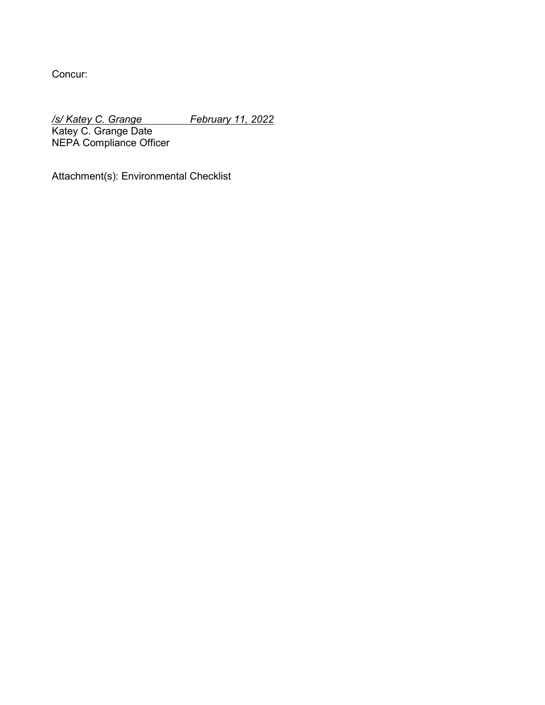Concur:

*/s/ Katey C. Grange February 11, 2022*

Katey C. Grange Date NEPA Compliance Officer

Attachment(s): Environmental Checklist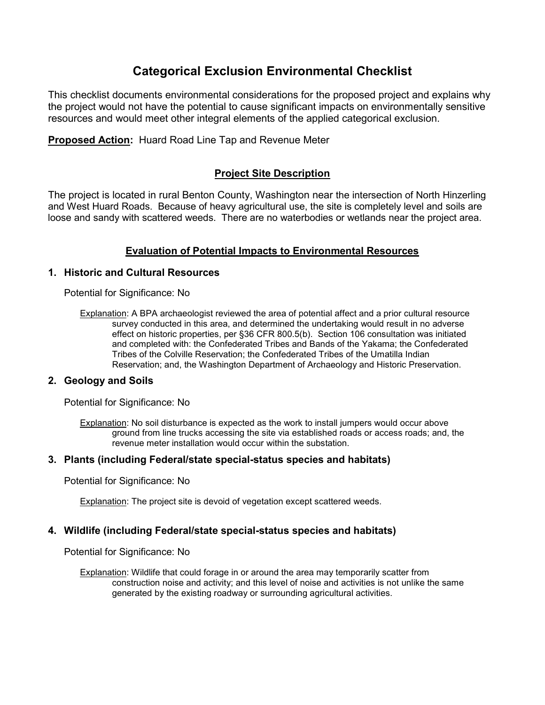# **Categorical Exclusion Environmental Checklist**

This checklist documents environmental considerations for the proposed project and explains why the project would not have the potential to cause significant impacts on environmentally sensitive resources and would meet other integral elements of the applied categorical exclusion.

**Proposed Action:** Huard Road Line Tap and Revenue Meter

## **Project Site Description**

The project is located in rural Benton County, Washington near the intersection of North Hinzerling and West Huard Roads. Because of heavy agricultural use, the site is completely level and soils are loose and sandy with scattered weeds. There are no waterbodies or wetlands near the project area.

## **Evaluation of Potential Impacts to Environmental Resources**

### **1. Historic and Cultural Resources**

Potential for Significance: No

Explanation: A BPA archaeologist reviewed the area of potential affect and a prior cultural resource survey conducted in this area, and determined the undertaking would result in no adverse effect on historic properties, per §36 CFR 800.5(b). Section 106 consultation was initiated and completed with: the Confederated Tribes and Bands of the Yakama; the Confederated Tribes of the Colville Reservation; the Confederated Tribes of the Umatilla Indian Reservation; and, the Washington Department of Archaeology and Historic Preservation.

#### **2. Geology and Soils**

Potential for Significance: No

Explanation: No soil disturbance is expected as the work to install jumpers would occur above ground from line trucks accessing the site via established roads or access roads; and, the revenue meter installation would occur within the substation.

### **3. Plants (including Federal/state special-status species and habitats)**

Potential for Significance: No

Explanation: The project site is devoid of vegetation except scattered weeds.

## **4. Wildlife (including Federal/state special-status species and habitats)**

Potential for Significance: No

Explanation: Wildlife that could forage in or around the area may temporarily scatter from construction noise and activity; and this level of noise and activities is not unlike the same generated by the existing roadway or surrounding agricultural activities.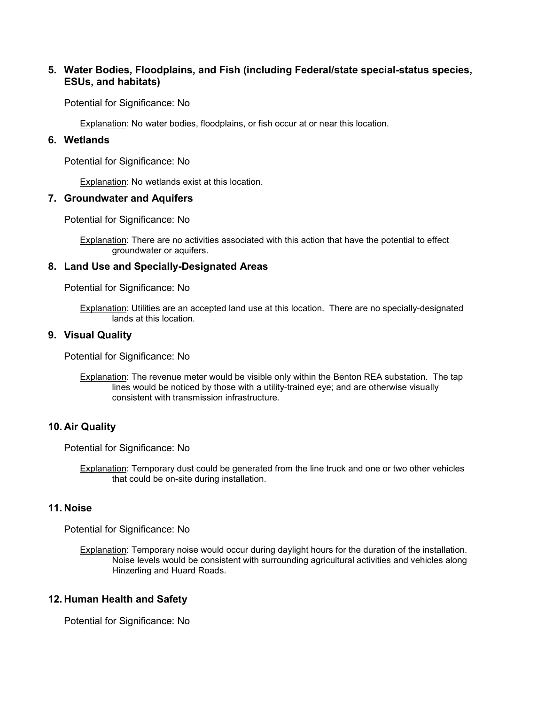## **5. Water Bodies, Floodplains, and Fish (including Federal/state special-status species, ESUs, and habitats)**

Potential for Significance: No

Explanation: No water bodies, floodplains, or fish occur at or near this location.

### **6. Wetlands**

Potential for Significance: No

Explanation: No wetlands exist at this location.

#### **7. Groundwater and Aquifers**

Potential for Significance: No

Explanation: There are no activities associated with this action that have the potential to effect groundwater or aquifers.

#### **8. Land Use and Specially-Designated Areas**

Potential for Significance: No

Explanation: Utilities are an accepted land use at this location. There are no specially-designated lands at this location.

#### **9. Visual Quality**

Potential for Significance: No

**Explanation:** The revenue meter would be visible only within the Benton REA substation. The tap lines would be noticed by those with a utility-trained eye; and are otherwise visually consistent with transmission infrastructure.

#### **10. Air Quality**

Potential for Significance: No

Explanation: Temporary dust could be generated from the line truck and one or two other vehicles that could be on-site during installation.

#### **11. Noise**

Potential for Significance: No

Explanation: Temporary noise would occur during daylight hours for the duration of the installation. Noise levels would be consistent with surrounding agricultural activities and vehicles along Hinzerling and Huard Roads.

#### **12. Human Health and Safety**

Potential for Significance: No